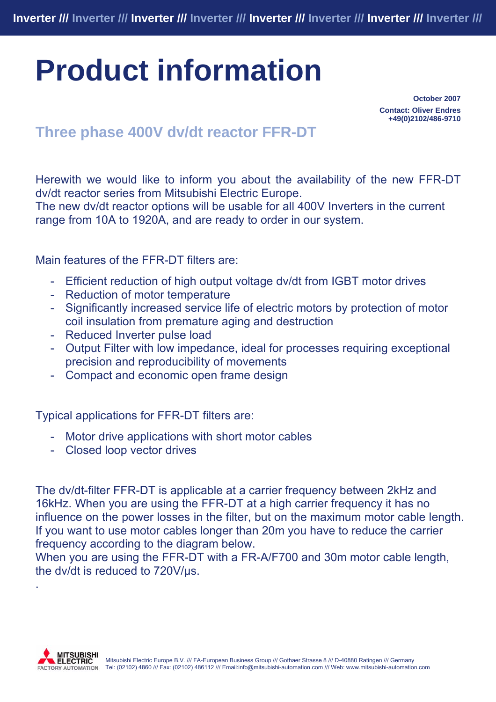## **Product information**

**October 2007 Contact: Oliver Endres +49(0)2102/486-9710** 

## **Three phase 400V dv/dt reactor FFR-DT**

Herewith we would like to inform you about the availability of the new FFR-DT dv/dt reactor series from Mitsubishi Electric Europe.

The new dv/dt reactor options will be usable for all 400V Inverters in the current range from 10A to 1920A, and are ready to order in our system.

## Main features of the FFR-DT filters are:

- Efficient reduction of high output voltage dv/dt from IGBT motor drives
- Reduction of motor temperature
- Significantly increased service life of electric motors by protection of motor coil insulation from premature aging and destruction
- Reduced Inverter pulse load
- Output Filter with low impedance, ideal for processes requiring exceptional precision and reproducibility of movements
- Compact and economic open frame design

Typical applications for FFR-DT filters are:

- Motor drive applications with short motor cables
- Closed loop vector drives

The dv/dt-filter FFR-DT is applicable at a carrier frequency between 2kHz and 16kHz. When you are using the FFR-DT at a high carrier frequency it has no influence on the power losses in the filter, but on the maximum motor cable length. If you want to use motor cables longer than 20m you have to reduce the carrier frequency according to the diagram below.

When you are using the FFR-DT with a FR-A/F700 and 30m motor cable length, the dv/dt is reduced to 720V/µs.



.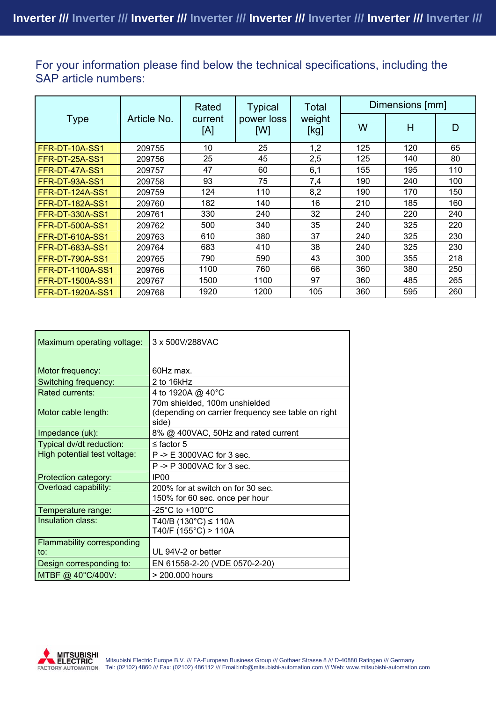For your information please find below the technical specifications, including the SAP article numbers:

|                         | Article No. | Rated<br>current<br>[A] | <b>Typical</b><br>power loss<br>[W] | Total<br>weight<br>[kg] | Dimensions [mm] |     |     |
|-------------------------|-------------|-------------------------|-------------------------------------|-------------------------|-----------------|-----|-----|
| <b>Type</b>             |             |                         |                                     |                         | W               | H   | D   |
| FFR-DT-10A-SS1          | 209755      | 10                      | 25                                  | 1,2                     | 125             | 120 | 65  |
| FFR-DT-25A-SS1          | 209756      | 25                      | 45                                  | 2,5                     | 125             | 140 | 80  |
| FFR-DT-47A-SS1          | 209757      | 47                      | 60                                  | 6,1                     | 155             | 195 | 110 |
| <b>FFR-DT-93A-SS1</b>   | 209758      | 93                      | 75                                  | 7,4                     | 190             | 240 | 100 |
| <b>FFR-DT-124A-SS1</b>  | 209759      | 124                     | 110                                 | 8,2                     | 190             | 170 | 150 |
| <b>FFR-DT-182A-SS1</b>  | 209760      | 182                     | 140                                 | 16                      | 210             | 185 | 160 |
| <b>FFR-DT-330A-SS1</b>  | 209761      | 330                     | 240                                 | 32                      | 240             | 220 | 240 |
| <b>FFR-DT-500A-SS1</b>  | 209762      | 500                     | 340                                 | 35                      | 240             | 325 | 220 |
| <b>FFR-DT-610A-SS1</b>  | 209763      | 610                     | 380                                 | 37                      | 240             | 325 | 230 |
| <b>FFR-DT-683A-SS1</b>  | 209764      | 683                     | 410                                 | 38                      | 240             | 325 | 230 |
| <b>FFR-DT-790A-SS1</b>  | 209765      | 790                     | 590                                 | 43                      | 300             | 355 | 218 |
| <b>FFR-DT-1100A-SS1</b> | 209766      | 1100                    | 760                                 | 66                      | 360             | 380 | 250 |
| <b>FFR-DT-1500A-SS1</b> | 209767      | 1500                    | 1100                                | 97                      | 360             | 485 | 265 |
| <b>FFR-DT-1920A-SS1</b> | 209768      | 1920                    | 1200                                | 105                     | 360             | 595 | 260 |

| Maximum operating voltage:        | 3 x 500V/288VAC                                                                              |  |  |  |
|-----------------------------------|----------------------------------------------------------------------------------------------|--|--|--|
|                                   |                                                                                              |  |  |  |
| Motor frequency:                  | 60Hz max.                                                                                    |  |  |  |
| Switching frequency:              | 2 to 16kHz                                                                                   |  |  |  |
| Rated currents:                   | 4 to 1920A @ 40°C                                                                            |  |  |  |
| Motor cable length:               | 70m shielded, 100m unshielded<br>(depending on carrier frequency see table on right<br>side) |  |  |  |
| Impedance (uk):                   | 8% @ 400VAC, 50Hz and rated current                                                          |  |  |  |
| Typical dv/dt reduction:          | $\leq$ factor 5                                                                              |  |  |  |
| High potential test voltage:      | P -> E 3000VAC for 3 sec.                                                                    |  |  |  |
|                                   | $P \rightarrow P$ 3000VAC for 3 sec.                                                         |  |  |  |
| Protection category:              | IP <sub>00</sub>                                                                             |  |  |  |
| Overload capability:              | 200% for at switch on for 30 sec.<br>150% for 60 sec. once per hour                          |  |  |  |
| Temperature range:                | -25 $^{\circ}$ C to +100 $^{\circ}$ C                                                        |  |  |  |
| Insulation class:                 | T40/B (130 $°C$ ) ≤ 110A<br>T40/F $(155^{\circ}C)$ > 110A                                    |  |  |  |
| <b>Flammability corresponding</b> |                                                                                              |  |  |  |
| to:                               | UL 94V-2 or better                                                                           |  |  |  |
| Design corresponding to:          | EN 61558-2-20 (VDE 0570-2-20)                                                                |  |  |  |
| MTBF @ 40°C/400V:                 | > 200,000 hours                                                                              |  |  |  |